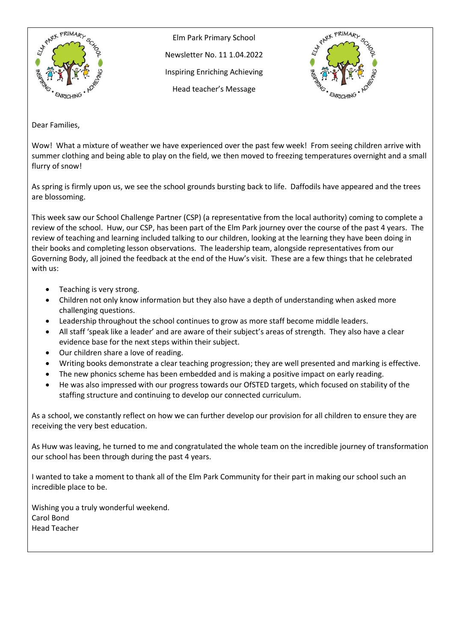

Elm Park Primary School Newsletter No. 11 1.04.2022 Inspiring Enriching Achieving Head teacher's Message



Dear Families,

Wow! What a mixture of weather we have experienced over the past few week! From seeing children arrive with summer clothing and being able to play on the field, we then moved to freezing temperatures overnight and a small flurry of snow!

As spring is firmly upon us, we see the school grounds bursting back to life. Daffodils have appeared and the trees are blossoming.

This week saw our School Challenge Partner (CSP) (a representative from the local authority) coming to complete a review of the school. Huw, our CSP, has been part of the Elm Park journey over the course of the past 4 years. The review of teaching and learning included talking to our children, looking at the learning they have been doing in their books and completing lesson observations. The leadership team, alongside representatives from our Governing Body, all joined the feedback at the end of the Huw's visit. These are a few things that he celebrated with us:

- Teaching is very strong.
- Children not only know information but they also have a depth of understanding when asked more challenging questions.
- Leadership throughout the school continues to grow as more staff become middle leaders.
- All staff 'speak like a leader' and are aware of their subject's areas of strength. They also have a clear evidence base for the next steps within their subject.
- Our children share a love of reading.
- Writing books demonstrate a clear teaching progression; they are well presented and marking is effective.
- The new phonics scheme has been embedded and is making a positive impact on early reading.
- He was also impressed with our progress towards our OfSTED targets, which focused on stability of the staffing structure and continuing to develop our connected curriculum.

As a school, we constantly reflect on how we can further develop our provision for all children to ensure they are receiving the very best education.

As Huw was leaving, he turned to me and congratulated the whole team on the incredible journey of transformation our school has been through during the past 4 years.

I wanted to take a moment to thank all of the Elm Park Community for their part in making our school such an incredible place to be.

Wishing you a truly wonderful weekend. Carol Bond Head Teacher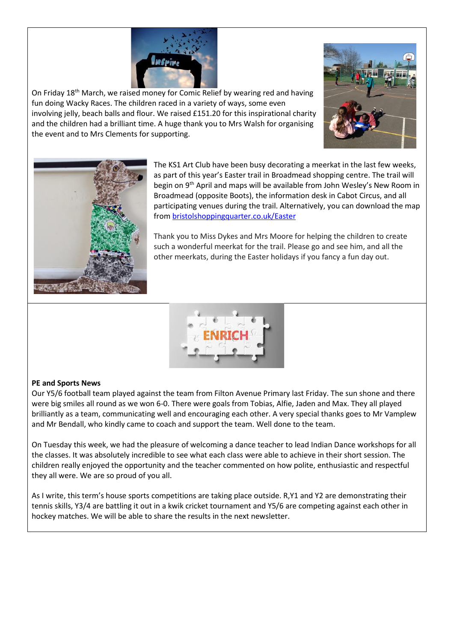

On Friday 18<sup>th</sup> March, we raised money for Comic Relief by wearing red and having fun doing Wacky Races. The children raced in a variety of ways, some even involving jelly, beach balls and flour. We raised £151.20 for this inspirational charity and the children had a brilliant time. A huge thank you to Mrs Walsh for organising the event and to Mrs Clements for supporting.





The KS1 Art Club have been busy decorating a meerkat in the last few weeks, as part of this year's Easter trail in Broadmead shopping centre. The trail will begin on 9<sup>th</sup> April and maps will be available from John Wesley's New Room in Broadmead (opposite Boots), the information desk in Cabot Circus, and all participating venues during the trail. Alternatively, you can download the map from [bristolshoppingquarter.co.uk/Easter](http://bristolshoppingquarter.co.uk/Easter)

Thank you to Miss Dykes and Mrs Moore for helping the children to create such a wonderful meerkat for the trail. Please go and see him, and all the other meerkats, during the Easter holidays if you fancy a fun day out.



## **PE and Sports News**

Our Y5/6 football team played against the team from Filton Avenue Primary last Friday. The sun shone and there were big smiles all round as we won 6-0. There were goals from Tobias, Alfie, Jaden and Max. They all played brilliantly as a team, communicating well and encouraging each other. A very special thanks goes to Mr Vamplew and Mr Bendall, who kindly came to coach and support the team. Well done to the team.

On Tuesday this week, we had the pleasure of welcoming a dance teacher to lead Indian Dance workshops for all the classes. It was absolutely incredible to see what each class were able to achieve in their short session. The children really enjoyed the opportunity and the teacher commented on how polite, enthusiastic and respectful they all were. We are so proud of you all.

As I write, this term's house sports competitions are taking place outside. R,Y1 and Y2 are demonstrating their tennis skills, Y3/4 are battling it out in a kwik cricket tournament and Y5/6 are competing against each other in hockey matches. We will be able to share the results in the next newsletter.